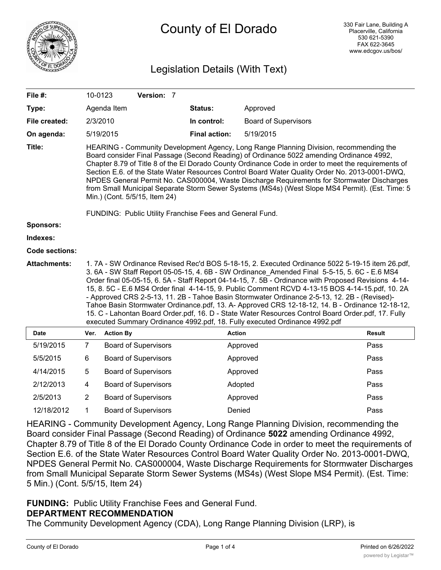

# County of El Dorado

## Legislation Details (With Text)

| File #:               | 10-0123                                                                                                                                                                                                                                                                                                                                                                                                                                                                                                                                                                                                                                                                                                                                                                                           |                  | Version: 7                  |                      |                             |               |
|-----------------------|---------------------------------------------------------------------------------------------------------------------------------------------------------------------------------------------------------------------------------------------------------------------------------------------------------------------------------------------------------------------------------------------------------------------------------------------------------------------------------------------------------------------------------------------------------------------------------------------------------------------------------------------------------------------------------------------------------------------------------------------------------------------------------------------------|------------------|-----------------------------|----------------------|-----------------------------|---------------|
| Type:                 |                                                                                                                                                                                                                                                                                                                                                                                                                                                                                                                                                                                                                                                                                                                                                                                                   | Agenda Item      |                             | Status:              | Approved                    |               |
| File created:         |                                                                                                                                                                                                                                                                                                                                                                                                                                                                                                                                                                                                                                                                                                                                                                                                   | 2/3/2010         |                             | In control:          | <b>Board of Supervisors</b> |               |
| On agenda:            |                                                                                                                                                                                                                                                                                                                                                                                                                                                                                                                                                                                                                                                                                                                                                                                                   | 5/19/2015        |                             | <b>Final action:</b> | 5/19/2015                   |               |
| Title:                | HEARING - Community Development Agency, Long Range Planning Division, recommending the<br>Board consider Final Passage (Second Reading) of Ordinance 5022 amending Ordinance 4992,<br>Chapter 8.79 of Title 8 of the El Dorado County Ordinance Code in order to meet the requirements of<br>Section E.6. of the State Water Resources Control Board Water Quality Order No. 2013-0001-DWQ,<br>NPDES General Permit No. CAS000004, Waste Discharge Requirements for Stormwater Discharges<br>from Small Municipal Separate Storm Sewer Systems (MS4s) (West Slope MS4 Permit). (Est. Time: 5<br>Min.) (Cont. 5/5/15, Item 24)<br>FUNDING: Public Utility Franchise Fees and General Fund.                                                                                                         |                  |                             |                      |                             |               |
| <b>Sponsors:</b>      |                                                                                                                                                                                                                                                                                                                                                                                                                                                                                                                                                                                                                                                                                                                                                                                                   |                  |                             |                      |                             |               |
| Indexes:              |                                                                                                                                                                                                                                                                                                                                                                                                                                                                                                                                                                                                                                                                                                                                                                                                   |                  |                             |                      |                             |               |
| <b>Code sections:</b> |                                                                                                                                                                                                                                                                                                                                                                                                                                                                                                                                                                                                                                                                                                                                                                                                   |                  |                             |                      |                             |               |
| <b>Attachments:</b>   | 1. 7A - SW Ordinance Revised Rec'd BOS 5-18-15, 2. Executed Ordinance 5022 5-19-15 item 26.pdf,<br>3. 6A - SW Staff Report 05-05-15, 4. 6B - SW Ordinance_Amended Final 5-5-15, 5. 6C - E.6 MS4<br>Order final 05-05-15, 6. 5A - Staff Report 04-14-15, 7. 5B - Ordinance with Proposed Revisions 4-14-<br>15, 8. 5C - E.6 MS4 Order final 4-14-15, 9. Public Comment RCVD 4-13-15 BOS 4-14-15.pdf, 10. 2A<br>- Approved CRS 2-5-13, 11. 2B - Tahoe Basin Stormwater Ordinance 2-5-13, 12. 2B - (Revised)-<br>Tahoe Basin Stormwater Ordinance.pdf, 13. A- Approved CRS 12-18-12, 14. B - Ordinance 12-18-12,<br>15. C - Lahontan Board Order.pdf, 16. D - State Water Resources Control Board Order.pdf, 17. Fully<br>executed Summary Ordinance 4992.pdf, 18. Fully executed Ordinance 4992.pdf |                  |                             |                      |                             |               |
| <b>Date</b>           | Ver.                                                                                                                                                                                                                                                                                                                                                                                                                                                                                                                                                                                                                                                                                                                                                                                              | <b>Action By</b> |                             |                      | <b>Action</b>               | <b>Result</b> |
| 5/19/2015             | 7                                                                                                                                                                                                                                                                                                                                                                                                                                                                                                                                                                                                                                                                                                                                                                                                 |                  | <b>Board of Supervisors</b> |                      | Approved                    | Pass          |
| 5/5/2015              | 6                                                                                                                                                                                                                                                                                                                                                                                                                                                                                                                                                                                                                                                                                                                                                                                                 |                  | <b>Board of Supervisors</b> |                      | Approved                    | Pass          |
| 4/14/2015             | 5                                                                                                                                                                                                                                                                                                                                                                                                                                                                                                                                                                                                                                                                                                                                                                                                 |                  | <b>Board of Supervisors</b> |                      | Approved                    | Pass          |
| 2/12/2013             | 4                                                                                                                                                                                                                                                                                                                                                                                                                                                                                                                                                                                                                                                                                                                                                                                                 |                  | <b>Board of Supervisors</b> |                      | Adopted                     | Pass          |
| 2/5/2013              | 2                                                                                                                                                                                                                                                                                                                                                                                                                                                                                                                                                                                                                                                                                                                                                                                                 |                  | <b>Board of Supervisors</b> |                      | Approved                    | Pass          |
| 12/18/2012            | 1                                                                                                                                                                                                                                                                                                                                                                                                                                                                                                                                                                                                                                                                                                                                                                                                 |                  | <b>Board of Supervisors</b> |                      | Denied                      | Pass          |

HEARING - Community Development Agency, Long Range Planning Division, recommending the Board consider Final Passage (Second Reading) of Ordinance **5022** amending Ordinance 4992, Chapter 8.79 of Title 8 of the El Dorado County Ordinance Code in order to meet the requirements of Section E.6. of the State Water Resources Control Board Water Quality Order No. 2013-0001-DWQ, NPDES General Permit No. CAS000004, Waste Discharge Requirements for Stormwater Discharges from Small Municipal Separate Storm Sewer Systems (MS4s) (West Slope MS4 Permit). (Est. Time: 5 Min.) (Cont. 5/5/15, Item 24)

### **FUNDING:** Public Utility Franchise Fees and General Fund. **DEPARTMENT RECOMMENDATION**

The Community Development Agency (CDA), Long Range Planning Division (LRP), is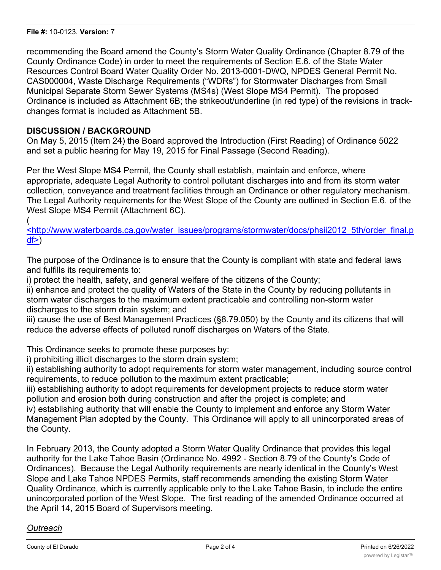recommending the Board amend the County's Storm Water Quality Ordinance (Chapter 8.79 of the County Ordinance Code) in order to meet the requirements of Section E.6. of the State Water Resources Control Board Water Quality Order No. 2013-0001-DWQ, NPDES General Permit No. CAS000004, Waste Discharge Requirements ("WDRs") for Stormwater Discharges from Small Municipal Separate Storm Sewer Systems (MS4s) (West Slope MS4 Permit). The proposed Ordinance is included as Attachment 6B; the strikeout/underline (in red type) of the revisions in trackchanges format is included as Attachment 5B.

#### **DISCUSSION / BACKGROUND**

On May 5, 2015 (Item 24) the Board approved the Introduction (First Reading) of Ordinance 5022 and set a public hearing for May 19, 2015 for Final Passage (Second Reading).

Per the West Slope MS4 Permit, the County shall establish, maintain and enforce, where appropriate, adequate Legal Authority to control pollutant discharges into and from its storm water collection, conveyance and treatment facilities through an Ordinance or other regulatory mechanism. The Legal Authority requirements for the West Slope of the County are outlined in Section E.6. of the West Slope MS4 Permit (Attachment 6C).

(

<http://www.waterboards.ca.gov/water\_issues/programs/stormwater/docs/phsii2012\_5th/order\_final.p  $df$  $>$ )

The purpose of the Ordinance is to ensure that the County is compliant with state and federal laws and fulfills its requirements to:

i) protect the health, safety, and general welfare of the citizens of the County;

ii) enhance and protect the quality of Waters of the State in the County by reducing pollutants in storm water discharges to the maximum extent practicable and controlling non-storm water discharges to the storm drain system; and

iii) cause the use of Best Management Practices (§8.79.050) by the County and its citizens that will reduce the adverse effects of polluted runoff discharges on Waters of the State.

This Ordinance seeks to promote these purposes by:

i) prohibiting illicit discharges to the storm drain system;

ii) establishing authority to adopt requirements for storm water management, including source control requirements, to reduce pollution to the maximum extent practicable;

iii) establishing authority to adopt requirements for development projects to reduce storm water pollution and erosion both during construction and after the project is complete; and

iv) establishing authority that will enable the County to implement and enforce any Storm Water Management Plan adopted by the County. This Ordinance will apply to all unincorporated areas of the County.

In February 2013, the County adopted a Storm Water Quality Ordinance that provides this legal authority for the Lake Tahoe Basin (Ordinance No. 4992 - Section 8.79 of the County's Code of Ordinances). Because the Legal Authority requirements are nearly identical in the County's West Slope and Lake Tahoe NPDES Permits, staff recommends amending the existing Storm Water Quality Ordinance, which is currently applicable only to the Lake Tahoe Basin, to include the entire unincorporated portion of the West Slope. The first reading of the amended Ordinance occurred at the April 14, 2015 Board of Supervisors meeting.

#### *Outreach*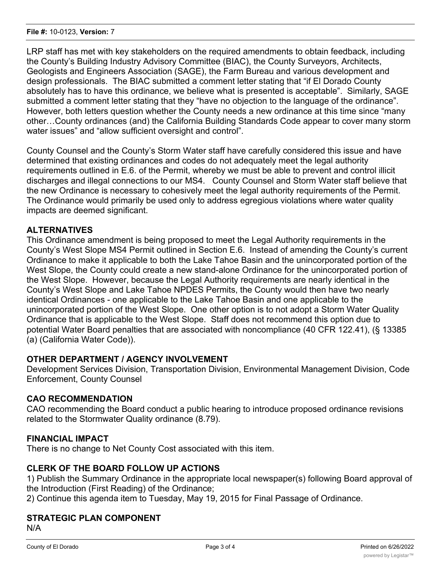LRP staff has met with key stakeholders on the required amendments to obtain feedback, including the County's Building Industry Advisory Committee (BIAC), the County Surveyors, Architects, Geologists and Engineers Association (SAGE), the Farm Bureau and various development and design professionals. The BIAC submitted a comment letter stating that "if El Dorado County absolutely has to have this ordinance, we believe what is presented is acceptable". Similarly, SAGE submitted a comment letter stating that they "have no objection to the language of the ordinance". However, both letters question whether the County needs a new ordinance at this time since "many other…County ordinances (and) the California Building Standards Code appear to cover many storm water issues" and "allow sufficient oversight and control".

County Counsel and the County's Storm Water staff have carefully considered this issue and have determined that existing ordinances and codes do not adequately meet the legal authority requirements outlined in E.6. of the Permit, whereby we must be able to prevent and control illicit discharges and illegal connections to our MS4. County Counsel and Storm Water staff believe that the new Ordinance is necessary to cohesively meet the legal authority requirements of the Permit. The Ordinance would primarily be used only to address egregious violations where water quality impacts are deemed significant.

#### **ALTERNATIVES**

This Ordinance amendment is being proposed to meet the Legal Authority requirements in the County's West Slope MS4 Permit outlined in Section E.6. Instead of amending the County's current Ordinance to make it applicable to both the Lake Tahoe Basin and the unincorporated portion of the West Slope, the County could create a new stand-alone Ordinance for the unincorporated portion of the West Slope. However, because the Legal Authority requirements are nearly identical in the County's West Slope and Lake Tahoe NPDES Permits, the County would then have two nearly identical Ordinances - one applicable to the Lake Tahoe Basin and one applicable to the unincorporated portion of the West Slope. One other option is to not adopt a Storm Water Quality Ordinance that is applicable to the West Slope. Staff does not recommend this option due to potential Water Board penalties that are associated with noncompliance (40 CFR 122.41), (§ 13385 (a) (California Water Code)).

#### **OTHER DEPARTMENT / AGENCY INVOLVEMENT**

Development Services Division, Transportation Division, Environmental Management Division, Code Enforcement, County Counsel

#### **CAO RECOMMENDATION**

CAO recommending the Board conduct a public hearing to introduce proposed ordinance revisions related to the Stormwater Quality ordinance (8.79).

#### **FINANCIAL IMPACT**

There is no change to Net County Cost associated with this item.

#### **CLERK OF THE BOARD FOLLOW UP ACTIONS**

1) Publish the Summary Ordinance in the appropriate local newspaper(s) following Board approval of the Introduction (First Reading) of the Ordinance;

2) Continue this agenda item to Tuesday, May 19, 2015 for Final Passage of Ordinance.

#### **STRATEGIC PLAN COMPONENT**

N/A